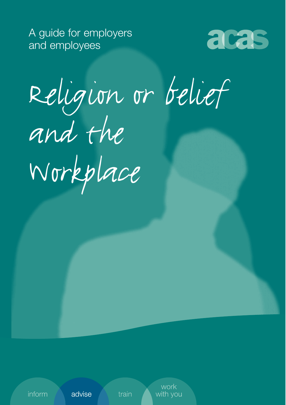A guide for employers and employees



Religion or belief and the Workplace

| inform | advise | train | work<br>with you |
|--------|--------|-------|------------------|
|        |        |       |                  |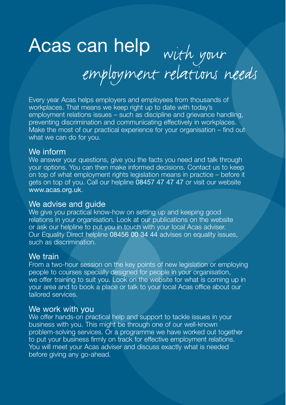# Acas can help with your

Every year Acas helps employers and employees from thousands of workplaces. That means we keep right up to date with today's employment relations issues – such as discipline and grievance handling, preventing discrimination and communicating effectively in workplaces. Make the most of our practical experience for your organisation – find out what we can do for you.

#### We inform

We answer your questions, give you the facts you need and talk through your options. You can then make informed decisions. Contact us to keep on top of what employment rights legislation means in practice – before it gets on top of you. Call our helpline 08457 47 47 47 or visit our website www.acas.org.uk.

#### We advise and quide

We give you practical know-how on setting up and keeping good relations in your organisation. Look at our publications on the website or ask our helpline to put you in touch with your local Acas adviser. Our Equality Direct helpline 08456 00 34 44 advises on equality issues, such as discrimination.

#### We train

From a two-hour session on the key points of new legislation or employing people to courses specially designed for people in your organisation, we offer training to suit you. Look on the website for what is coming up in your area and to book a place or talk to your local Acas office about our tailored services.

#### We work with you

We offer hands-on practical help and support to tackle issues in your business with you. This might be through one of our well-known problem-solving services. Or a programme we have worked out together to put your business firmly on track for effective employment relations. You will meet your Acas adviser and discuss exactly what is needed before giving any go-ahead.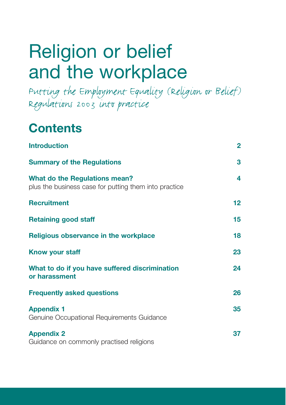# Religion or belief and the workplace

Putting the Employment Equality (Religion or Belief) Regulations 2003 into practice

### **Contents**

| <b>Introduction</b>                                                                           | $\mathbf{2}$    |
|-----------------------------------------------------------------------------------------------|-----------------|
| <b>Summary of the Regulations</b>                                                             | 3               |
| <b>What do the Regulations mean?</b><br>plus the business case for putting them into practice | 4               |
| <b>Recruitment</b>                                                                            | 12 <sub>2</sub> |
| <b>Retaining good staff</b>                                                                   | 15              |
| Religious observance in the workplace                                                         | 18              |
| Know your staff                                                                               | 23              |
| What to do if you have suffered discrimination<br>or harassment                               | 24              |
| <b>Frequently asked questions</b>                                                             | 26              |
| <b>Appendix 1</b><br>Genuine Occupational Requirements Guidance                               | 35              |
| <b>Appendix 2</b><br>Guidance on commonly practised religions                                 | 37              |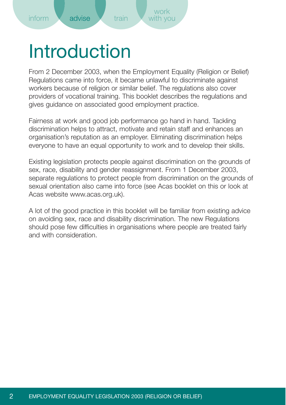#### work with you

# Introduction

From 2 December 2003, when the Employment Equality (Religion or Belief) Regulations came into force, it became unlawful to discriminate against workers because of religion or similar belief. The regulations also cover providers of vocational training. This booklet describes the regulations and gives guidance on associated good employment practice.

Fairness at work and good job performance go hand in hand. Tackling discrimination helps to attract, motivate and retain staff and enhances an organisation's reputation as an employer. Eliminating discrimination helps everyone to have an equal opportunity to work and to develop their skills.

Existing legislation protects people against discrimination on the grounds of sex, race, disability and gender reassignment. From 1 December 2003, separate regulations to protect people from discrimination on the grounds of sexual orientation also came into force (see Acas booklet on this or look at Acas website www.acas.org.uk).

A lot of the good practice in this booklet will be familiar from existing advice on avoiding sex, race and disability discrimination. The new Regulations should pose few difficulties in organisations where people are treated fairly and with consideration.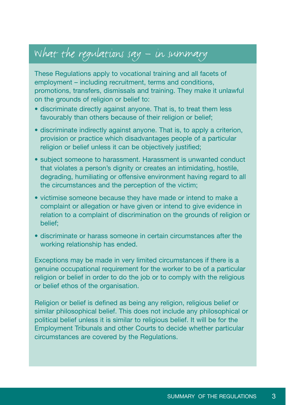### What the regulations say – in summary

These Regulations apply to vocational training and all facets of employment – including recruitment, terms and conditions, promotions, transfers, dismissals and training. They make it unlawful on the grounds of religion or belief to:

- discriminate directly against anyone. That is, to treat them less favourably than others because of their religion or belief;
- discriminate indirectly against anyone. That is, to apply a criterion, provision or practice which disadvantages people of a particular religion or belief unless it can be objectively justified;
- subject someone to harassment. Harassment is unwanted conduct that violates a person's dignity or creates an intimidating, hostile, degrading, humiliating or offensive environment having regard to all the circumstances and the perception of the victim;
- victimise someone because they have made or intend to make a complaint or allegation or have given or intend to give evidence in relation to a complaint of discrimination on the grounds of religion or belief;
- discriminate or harass someone in certain circumstances after the working relationship has ended.

Exceptions may be made in very limited circumstances if there is a genuine occupational requirement for the worker to be of a particular religion or belief in order to do the job or to comply with the religious or belief ethos of the organisation.

Religion or belief is defined as being any religion, religious belief or similar philosophical belief. This does not include any philosophical or political belief unless it is similar to religious belief. It will be for the Employment Tribunals and other Courts to decide whether particular circumstances are covered by the Regulations.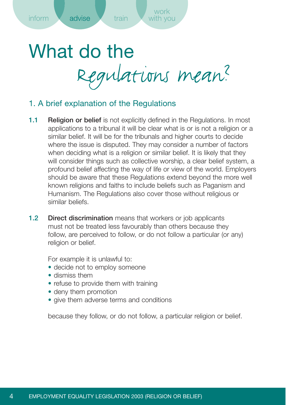

# What do the Regulations mean?

#### 1. A brief explanation of the Regulations

- **1.1 Religion or belief** is not explicitly defined in the Regulations. In most applications to a tribunal it will be clear what is or is not a religion or a similar belief. It will be for the tribunals and higher courts to decide where the issue is disputed. They may consider a number of factors when deciding what is a religion or similar belief. It is likely that they will consider things such as collective worship, a clear belief system, a profound belief affecting the way of life or view of the world. Employers should be aware that these Regulations extend beyond the more well known religions and faiths to include beliefs such as Paganism and Humanism. The Regulations also cover those without religious or similar beliefs.
- **1.2 Direct discrimination** means that workers or job applicants must not be treated less favourably than others because they follow, are perceived to follow, or do not follow a particular (or any) religion or belief.

For example it is unlawful to:

- decide not to employ someone
- dismiss them
- refuse to provide them with training
- deny them promotion
- give them adverse terms and conditions

because they follow, or do not follow, a particular religion or belief.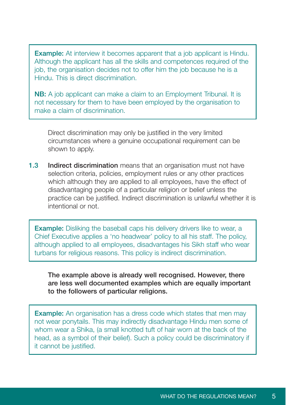**Example:** At interview it becomes apparent that a job applicant is Hindu. Although the applicant has all the skills and competences required of the job, the organisation decides not to offer him the job because he is a Hindu. This is direct discrimination.

**NB:** A job applicant can make a claim to an Employment Tribunal. It is not necessary for them to have been employed by the organisation to make a claim of discrimination.

Direct discrimination may only be justified in the very limited circumstances where a genuine occupational requirement can be shown to apply.

**1.3 Indirect discrimination** means that an organisation must not have selection criteria, policies, employment rules or any other practices which although they are applied to all employees, have the effect of disadvantaging people of a particular religion or belief unless the practice can be justified. Indirect discrimination is unlawful whether it is intentional or not.

**Example:** Disliking the baseball caps his delivery drivers like to wear, a Chief Executive applies a 'no headwear' policy to all his staff. The policy, although applied to all employees, disadvantages his Sikh staff who wear turbans for religious reasons. This policy is indirect discrimination.

**The example above is already well recognised. However, there are less well documented examples which are equally important to the followers of particular religions.**

**Example:** An organisation has a dress code which states that men may not wear ponytails. This may indirectly disadvantage Hindu men some of whom wear a Shika, (a small knotted tuft of hair worn at the back of the head, as a symbol of their belief). Such a policy could be discriminatory if it cannot be justified.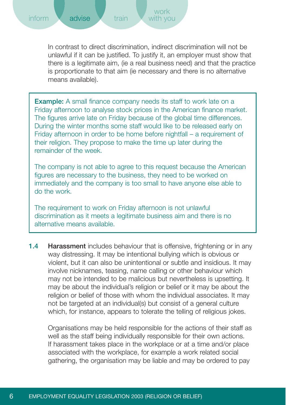In contrast to direct discrimination, indirect discrimination will not be unlawful if it can be justified. To justify it, an employer must show that there is a legitimate aim, (ie a real business need) and that the practice is proportionate to that aim (ie necessary and there is no alternative means available).

**Example:** A small finance company needs its staff to work late on a Friday afternoon to analyse stock prices in the American finance market. The figures arrive late on Friday because of the global time differences. During the winter months some staff would like to be released early on Friday afternoon in order to be home before nightfall – a requirement of their religion. They propose to make the time up later during the remainder of the week.

The company is not able to agree to this request because the American figures are necessary to the business, they need to be worked on immediately and the company is too small to have anyone else able to do the work.

The requirement to work on Friday afternoon is not unlawful discrimination as it meets a legitimate business aim and there is no alternative means available.

**1.4 Harassment** includes behaviour that is offensive, frightening or in any way distressing. It may be intentional bullying which is obvious or violent, but it can also be unintentional or subtle and insidious. It may involve nicknames, teasing, name calling or other behaviour which may not be intended to be malicious but nevertheless is upsetting. It may be about the individual's religion or belief or it may be about the religion or belief of those with whom the individual associates. It may not be targeted at an individual(s) but consist of a general culture which, for instance, appears to tolerate the telling of religious jokes.

Organisations may be held responsible for the actions of their staff as well as the staff being individually responsible for their own actions. If harassment takes place in the workplace or at a time and/or place associated with the workplace, for example a work related social gathering, the organisation may be liable and may be ordered to pay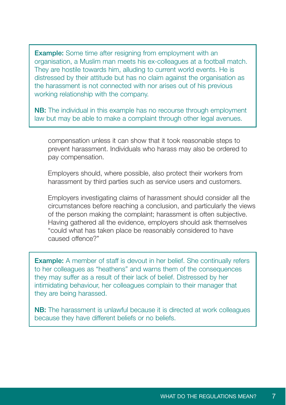**Example:** Some time after resigning from employment with an organisation, a Muslim man meets his ex-colleagues at a football match. They are hostile towards him, alluding to current world events. He is distressed by their attitude but has no claim against the organisation as the harassment is not connected with nor arises out of his previous working relationship with the company.

**NB:** The individual in this example has no recourse through employment law but may be able to make a complaint through other legal avenues.

compensation unless it can show that it took reasonable steps to prevent harassment. Individuals who harass may also be ordered to pay compensation.

Employers should, where possible, also protect their workers from harassment by third parties such as service users and customers.

Employers investigating claims of harassment should consider all the circumstances before reaching a conclusion, and particularly the views of the person making the complaint; harassment is often subjective. Having gathered all the evidence, employers should ask themselves "could what has taken place be reasonably considered to have caused offence?"

**Example:** A member of staff is devout in her belief. She continually refers to her colleagues as "heathens" and warns them of the consequences they may suffer as a result of their lack of belief. Distressed by her intimidating behaviour, her colleagues complain to their manager that they are being harassed.

**NB:** The harassment is unlawful because it is directed at work colleagues because they have different beliefs or no beliefs.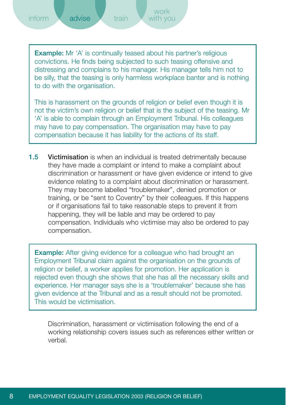**Example:** Mr 'A' is continually teased about his partner's religious convictions. He finds being subjected to such teasing offensive and distressing and complains to his manager. His manager tells him not to be silly, that the teasing is only harmless workplace banter and is nothing to do with the organisation.

This is harassment on the grounds of religion or belief even though it is not the victim's own religion or belief that is the subject of the teasing. Mr 'A' is able to complain through an Employment Tribunal. His colleagues may have to pay compensation. The organisation may have to pay compensation because it has liability for the actions of its staff.

**1.5 Victimisation** is when an individual is treated detrimentally because they have made a complaint or intend to make a complaint about discrimination or harassment or have given evidence or intend to give evidence relating to a complaint about discrimination or harassment. They may become labelled "troublemaker", denied promotion or training, or be "sent to Coventry" by their colleagues. If this happens or if organisations fail to take reasonable steps to prevent it from happening, they will be liable and may be ordered to pay compensation. Individuals who victimise may also be ordered to pay compensation.

**Example:** After giving evidence for a colleague who had brought an Employment Tribunal claim against the organisation on the grounds of religion or belief, a worker applies for promotion. Her application is rejected even though she shows that she has all the necessary skills and experience. Her manager says she is a 'troublemaker' because she has given evidence at the Tribunal and as a result should not be promoted. This would be victimisation.

Discrimination, harassment or victimisation following the end of a working relationship covers issues such as references either written or verbal.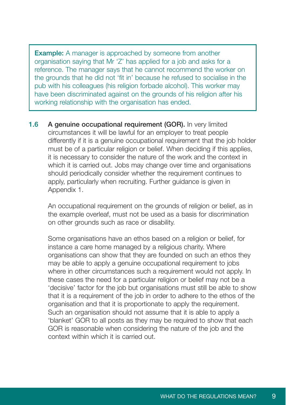**Example:** A manager is approached by someone from another organisation saying that Mr 'Z' has applied for a job and asks for a reference. The manager says that he cannot recommend the worker on the grounds that he did not 'fit in' because he refused to socialise in the pub with his colleagues (his religion forbade alcohol). This worker may have been discriminated against on the grounds of his religion after his working relationship with the organisation has ended.

**1.6 A genuine occupational requirement (GOR).** In very limited circumstances it will be lawful for an employer to treat people differently if it is a genuine occupational requirement that the job holder must be of a particular religion or belief. When deciding if this applies, it is necessary to consider the nature of the work and the context in which it is carried out. Jobs may change over time and organisations should periodically consider whether the requirement continues to apply, particularly when recruiting. Further guidance is given in Appendix 1.

An occupational requirement on the grounds of religion or belief, as in the example overleaf, must not be used as a basis for discrimination on other grounds such as race or disability.

Some organisations have an ethos based on a religion or belief, for instance a care home managed by a religious charity. Where organisations can show that they are founded on such an ethos they may be able to apply a genuine occupational requirement to jobs where in other circumstances such a requirement would not apply. In these cases the need for a particular religion or belief may not be a 'decisive' factor for the job but organisations must still be able to show that it is a requirement of the job in order to adhere to the ethos of the organisation and that it is proportionate to apply the requirement. Such an organisation should not assume that it is able to apply a 'blanket' GOR to all posts as they may be required to show that each GOR is reasonable when considering the nature of the job and the context within which it is carried out.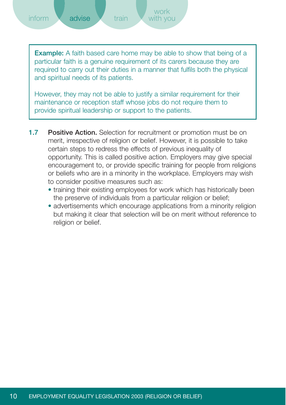**Example:** A faith based care home may be able to show that being of a particular faith is a genuine requirement of its carers because they are required to carry out their duties in a manner that fulfils both the physical and spiritual needs of its patients.

However, they may not be able to justify a similar requirement for their maintenance or reception staff whose jobs do not require them to provide spiritual leadership or support to the patients.

- **1.7 Positive Action.** Selection for recruitment or promotion must be on merit, irrespective of religion or belief. However, it is possible to take certain steps to redress the effects of previous inequality of opportunity. This is called positive action. Employers may give special encouragement to, or provide specific training for people from religions or beliefs who are in a minority in the workplace. Employers may wish to consider positive measures such as:
	- training their existing employees for work which has historically been the preserve of individuals from a particular religion or belief;
	- advertisements which encourage applications from a minority religion but making it clear that selection will be on merit without reference to religion or belief.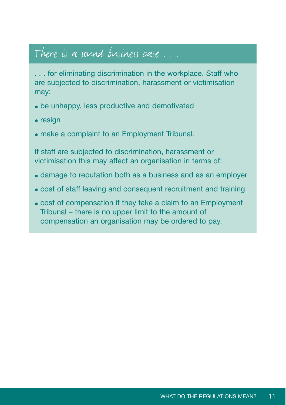### There is a sound business case . . .

. . . for eliminating discrimination in the workplace. Staff who are subjected to discrimination, harassment or victimisation may:

- be unhappy, less productive and demotivated
- resign
- make a complaint to an Employment Tribunal.

If staff are subjected to discrimination, harassment or victimisation this may affect an organisation in terms of:

- damage to reputation both as a business and as an employer
- cost of staff leaving and consequent recruitment and training
- cost of compensation if they take a claim to an Employment Tribunal – there is no upper limit to the amount of compensation an organisation may be ordered to pay.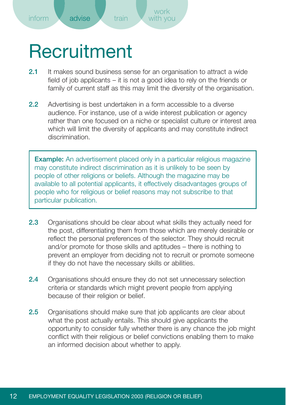# **Recruitment**

- **2.1** It makes sound business sense for an organisation to attract a wide field of job applicants – it is not a good idea to rely on the friends or family of current staff as this may limit the diversity of the organisation.
- **2.2** Advertising is best undertaken in a form accessible to a diverse audience. For instance, use of a wide interest publication or agency rather than one focused on a niche or specialist culture or interest area which will limit the diversity of applicants and may constitute indirect discrimination.

**Example:** An advertisement placed only in a particular religious magazine may constitute indirect discrimination as it is unlikely to be seen by people of other religions or beliefs. Although the magazine may be available to all potential applicants, it effectively disadvantages groups of people who for religious or belief reasons may not subscribe to that particular publication.

- **2.3** Organisations should be clear about what skills they actually need for the post, differentiating them from those which are merely desirable or reflect the personal preferences of the selector. They should recruit and/or promote for those skills and aptitudes – there is nothing to prevent an employer from deciding not to recruit or promote someone if they do not have the necessary skills or abilities.
- **2.4** Organisations should ensure they do not set unnecessary selection criteria or standards which might prevent people from applying because of their religion or belief.
- **2.5** Organisations should make sure that job applicants are clear about what the post actually entails. This should give applicants the opportunity to consider fully whether there is any chance the job might conflict with their religious or belief convictions enabling them to make an informed decision about whether to apply.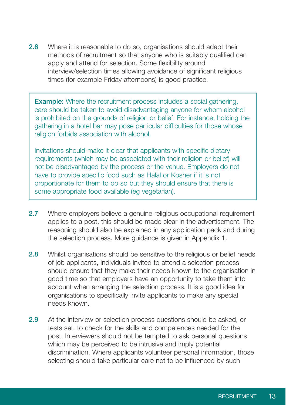**2.6** Where it is reasonable to do so, organisations should adapt their methods of recruitment so that anyone who is suitably qualified can apply and attend for selection. Some flexibility around interview/selection times allowing avoidance of significant religious times (for example Friday afternoons) is good practice.

**Example:** Where the recruitment process includes a social gathering, care should be taken to avoid disadvantaging anyone for whom alcohol is prohibited on the grounds of religion or belief. For instance, holding the gathering in a hotel bar may pose particular difficulties for those whose religion forbids association with alcohol.

Invitations should make it clear that applicants with specific dietary requirements (which may be associated with their religion or belief) will not be disadvantaged by the process or the venue. Employers do not have to provide specific food such as Halal or Kosher if it is not proportionate for them to do so but they should ensure that there is some appropriate food available (eg vegetarian).

- **2.7** Where employers believe a genuine religious occupational requirement applies to a post, this should be made clear in the advertisement. The reasoning should also be explained in any application pack and during the selection process. More guidance is given in Appendix 1.
- **2.8** Whilst organisations should be sensitive to the religious or belief needs of job applicants, individuals invited to attend a selection process should ensure that they make their needs known to the organisation in good time so that employers have an opportunity to take them into account when arranging the selection process. It is a good idea for organisations to specifically invite applicants to make any special needs known.
- **2.9** At the interview or selection process questions should be asked, or tests set, to check for the skills and competences needed for the post. Interviewers should not be tempted to ask personal questions which may be perceived to be intrusive and imply potential discrimination. Where applicants volunteer personal information, those selecting should take particular care not to be influenced by such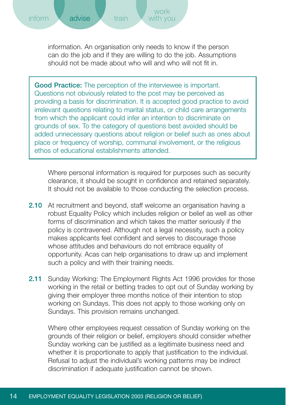information. An organisation only needs to know if the person can do the job and if they are willing to do the job. Assumptions should not be made about who will and who will not fit in.

**Good Practice:** The perception of the interviewee is important. Questions not obviously related to the post may be perceived as providing a basis for discrimination. It is accepted good practice to avoid irrelevant questions relating to marital status, or child care arrangements from which the applicant could infer an intention to discriminate on grounds of sex. To the category of questions best avoided should be added unnecessary questions about religion or belief such as ones about place or frequency of worship, communal involvement, or the religious ethos of educational establishments attended.

Where personal information is required for purposes such as security clearance, it should be sought in confidence and retained separately. It should not be available to those conducting the selection process.

- **2.10** At recruitment and beyond, staff welcome an organisation having a robust Equality Policy which includes religion or belief as well as other forms of discrimination and which takes the matter seriously if the policy is contravened. Although not a legal necessity, such a policy makes applicants feel confident and serves to discourage those whose attitudes and behaviours do not embrace equality of opportunity. Acas can help organisations to draw up and implement such a policy and with their training needs.
- **2.11** Sunday Working: The Employment Rights Act 1996 provides for those working in the retail or betting trades to opt out of Sunday working by giving their employer three months notice of their intention to stop working on Sundays. This does not apply to those working only on Sundays. This provision remains unchanged.

Where other employees request cessation of Sunday working on the grounds of their religion or belief, employers should consider whether Sunday working can be justified as a legitimate business need and whether it is proportionate to apply that justification to the individual. Refusal to adjust the individual's working patterns may be indirect discrimination if adequate justification cannot be shown.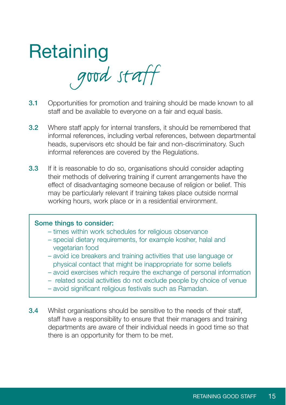

- **3.1** Opportunities for promotion and training should be made known to all staff and be available to everyone on a fair and equal basis.
- **3.2** Where staff apply for internal transfers, it should be remembered that informal references, including verbal references, between departmental heads, supervisors etc should be fair and non-discriminatory. Such informal references are covered by the Regulations.
- **3.3** If it is reasonable to do so, organisations should consider adapting their methods of delivering training if current arrangements have the effect of disadvantaging someone because of religion or belief. This may be particularly relevant if training takes place outside normal working hours, work place or in a residential environment.

#### **Some things to consider:**

- times within work schedules for religious observance
- special dietary requirements, for example kosher, halal and vegetarian food
- avoid ice breakers and training activities that use language or physical contact that might be inappropriate for some beliefs
- avoid exercises which require the exchange of personal information
- related social activities do not exclude people by choice of venue
- avoid significant religious festivals such as Ramadan.
- **3.4** Whilst organisations should be sensitive to the needs of their staff, staff have a responsibility to ensure that their managers and training departments are aware of their individual needs in good time so that there is an opportunity for them to be met.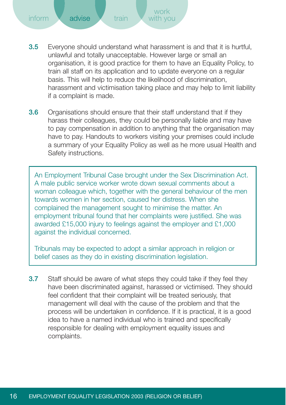

- **3.5** Everyone should understand what harassment is and that it is hurtful, unlawful and totally unacceptable. However large or small an organisation, it is good practice for them to have an Equality Policy, to train all staff on its application and to update everyone on a regular basis. This will help to reduce the likelihood of discrimination, harassment and victimisation taking place and may help to limit liability if a complaint is made.
- **3.6** Organisations should ensure that their staff understand that if they harass their colleagues, they could be personally liable and may have to pay compensation in addition to anything that the organisation may have to pay. Handouts to workers visiting your premises could include a summary of your Equality Policy as well as he more usual Health and Safety instructions.

An Employment Tribunal Case brought under the Sex Discrimination Act. A male public service worker wrote down sexual comments about a woman colleague which, together with the general behaviour of the men towards women in her section, caused her distress. When she complained the management sought to minimise the matter. An employment tribunal found that her complaints were justified. She was awarded £15,000 injury to feelings against the employer and £1,000 against the individual concerned.

Tribunals may be expected to adopt a similar approach in religion or belief cases as they do in existing discrimination legislation.

**3.7** Staff should be aware of what steps they could take if they feel they have been discriminated against, harassed or victimised. They should feel confident that their complaint will be treated seriously, that management will deal with the cause of the problem and that the process will be undertaken in confidence. If it is practical, it is a good idea to have a named individual who is trained and specifically responsible for dealing with employment equality issues and complaints.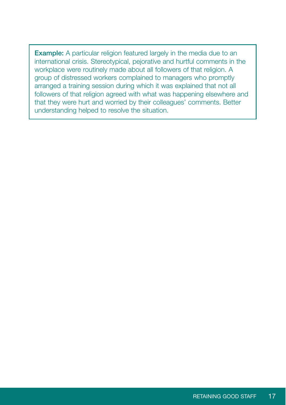**Example:** A particular religion featured largely in the media due to an international crisis. Stereotypical, pejorative and hurtful comments in the workplace were routinely made about all followers of that religion. A group of distressed workers complained to managers who promptly arranged a training session during which it was explained that not all followers of that religion agreed with what was happening elsewhere and that they were hurt and worried by their colleagues' comments. Better understanding helped to resolve the situation.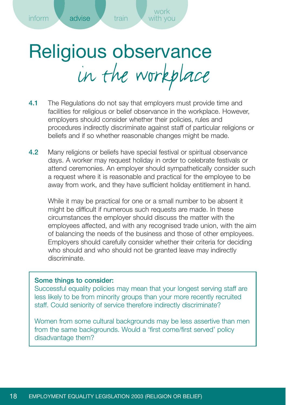Religious observance in the workplace

train

advise

*inform* 

**4.1** The Regulations do not say that employers must provide time and facilities for religious or belief observance in the workplace. However, employers should consider whether their policies, rules and procedures indirectly discriminate against staff of particular religions or beliefs and if so whether reasonable changes might be made.

work

with you

**4.2** Many religions or beliefs have special festival or spiritual observance days. A worker may request holiday in order to celebrate festivals or attend ceremonies. An employer should sympathetically consider such a request where it is reasonable and practical for the employee to be away from work, and they have sufficient holiday entitlement in hand.

While it may be practical for one or a small number to be absent it might be difficult if numerous such requests are made. In these circumstances the employer should discuss the matter with the employees affected, and with any recognised trade union, with the aim of balancing the needs of the business and those of other employees. Employers should carefully consider whether their criteria for deciding who should and who should not be granted leave may indirectly discriminate.

#### **Some things to consider:**

Successful equality policies may mean that your longest serving staff are less likely to be from minority groups than your more recently recruited staff. Could seniority of service therefore indirectly discriminate?

Women from some cultural backgrounds may be less assertive than men from the same backgrounds. Would a 'first come/first served' policy disadvantage them?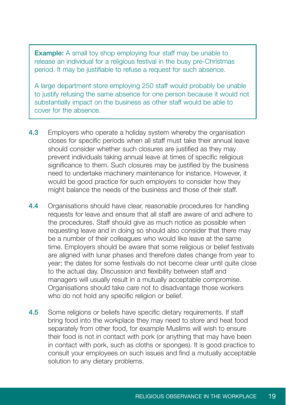**Example:** A small toy shop employing four staff may be unable to release an individual for a religious festival in the busy pre-Christmas period. It may be justifiable to refuse a request for such absence.

A large department store employing 250 staff would probably be unable to justify refusing the same absence for one person because it would not substantially impact on the business as other staff would be able to cover for the absence.

- **4.3** Employers who operate a holiday system whereby the organisation closes for specific periods when all staff must take their annual leave should consider whether such closures are justified as they may prevent individuals taking annual leave at times of specific religious significance to them. Such closures may be justified by the business need to undertake machinery maintenance for instance. However, it would be good practice for such employers to consider how they might balance the needs of the business and those of their staff.
- **4.4** Organisations should have clear, reasonable procedures for handling requests for leave and ensure that all staff are aware of and adhere to the procedures. Staff should give as much notice as possible when requesting leave and in doing so should also consider that there may be a number of their colleagues who would like leave at the same time. Employers should be aware that some religious or belief festivals are aligned with lunar phases and therefore dates change from year to year; the dates for some festivals do not become clear until quite close to the actual day. Discussion and flexibility between staff and managers will usually result in a mutually acceptable compromise. Organisations should take care not to disadvantage those workers who do not hold any specific religion or belief.
- **4.5** Some religions or beliefs have specific dietary requirements. If staff bring food into the workplace they may need to store and heat food separately from other food, for example Muslims will wish to ensure their food is not in contact with pork (or anything that may have been in contact with pork, such as cloths or sponges). It is good practice to consult your employees on such issues and find a mutually acceptable solution to any dietary problems.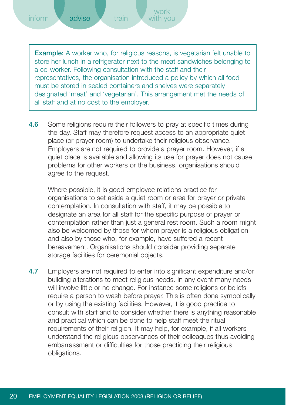**Example:** A worker who, for religious reasons, is vegetarian felt unable to store her lunch in a refrigerator next to the meat sandwiches belonging to a co-worker. Following consultation with the staff and their representatives, the organisation introduced a policy by which all food must be stored in sealed containers and shelves were separately designated 'meat' and 'vegetarian'. This arrangement met the needs of all staff and at no cost to the employer.

**4.6** Some religions require their followers to pray at specific times during the day. Staff may therefore request access to an appropriate quiet place (or prayer room) to undertake their religious observance. Employers are not required to provide a prayer room. However, if a quiet place is available and allowing its use for prayer does not cause problems for other workers or the business, organisations should agree to the request.

Where possible, it is good employee relations practice for organisations to set aside a quiet room or area for prayer or private contemplation. In consultation with staff, it may be possible to designate an area for all staff for the specific purpose of prayer or contemplation rather than just a general rest room. Such a room might also be welcomed by those for whom prayer is a religious obligation and also by those who, for example, have suffered a recent bereavement. Organisations should consider providing separate storage facilities for ceremonial objects.

**4.7** Employers are not required to enter into significant expenditure and/or building alterations to meet religious needs. In any event many needs will involve little or no change. For instance some religions or beliefs require a person to wash before prayer. This is often done symbolically or by using the existing facilities. However, it is good practice to consult with staff and to consider whether there is anything reasonable and practical which can be done to help staff meet the ritual requirements of their religion. It may help, for example, if all workers understand the religious observances of their colleagues thus avoiding embarrassment or difficulties for those practicing their religious obligations.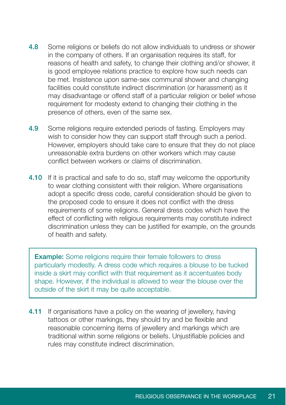- **4.8** Some religions or beliefs do not allow individuals to undress or shower in the company of others. If an organisation requires its staff, for reasons of health and safety, to change their clothing and/or shower, it is good employee relations practice to explore how such needs can be met. Insistence upon same-sex communal shower and changing facilities could constitute indirect discrimination (or harassment) as it may disadvantage or offend staff of a particular religion or belief whose requirement for modesty extend to changing their clothing in the presence of others, even of the same sex.
- **4.9** Some religions require extended periods of fasting. Employers may wish to consider how they can support staff through such a period. However, employers should take care to ensure that they do not place unreasonable extra burdens on other workers which may cause conflict between workers or claims of discrimination.
- **4.10** If it is practical and safe to do so, staff may welcome the opportunity to wear clothing consistent with their religion. Where organisations adopt a specific dress code, careful consideration should be given to the proposed code to ensure it does not conflict with the dress requirements of some religions. General dress codes which have the effect of conflicting with religious requirements may constitute indirect discrimination unless they can be justified for example, on the grounds of health and safety.

**Example:** Some religions require their female followers to dress particularly modestly. A dress code which requires a blouse to be tucked inside a skirt may conflict with that requirement as it accentuates body shape. However, if the individual is allowed to wear the blouse over the outside of the skirt it may be quite acceptable.

**4.11** If organisations have a policy on the wearing of jewellery, having tattoos or other markings, they should try and be flexible and reasonable concerning items of jewellery and markings which are traditional within some religions or beliefs. Unjustifiable policies and rules may constitute indirect discrimination.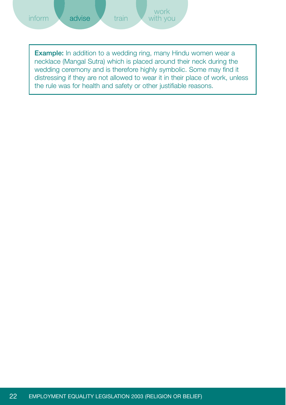**Example:** In addition to a wedding ring, many Hindu women wear a necklace (Mangal Sutra) which is placed around their neck during the wedding ceremony and is therefore highly symbolic. Some may find it distressing if they are not allowed to wear it in their place of work, unless the rule was for health and safety or other justifiable reasons.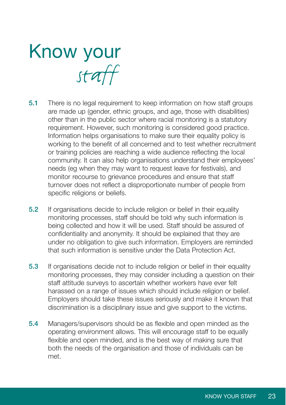

- **5.1** There is no legal requirement to keep information on how staff groups are made up (gender, ethnic groups, and age, those with disabilities) other than in the public sector where racial monitoring is a statutory requirement. However, such monitoring is considered good practice. Information helps organisations to make sure their equality policy is working to the benefit of all concerned and to test whether recruitment or training policies are reaching a wide audience reflecting the local community. It can also help organisations understand their employees' needs (eg when they may want to request leave for festivals), and monitor recourse to grievance procedures and ensure that staff turnover does not reflect a disproportionate number of people from specific religions or beliefs.
- **5.2** If organisations decide to include religion or belief in their equality monitoring processes, staff should be told why such information is being collected and how it will be used. Staff should be assured of confidentiality and anonymity. It should be explained that they are under no obligation to give such information. Employers are reminded that such information is sensitive under the Data Protection Act.
- **5.3** If organisations decide not to include religion or belief in their equality monitoring processes, they may consider including a question on their staff attitude surveys to ascertain whether workers have ever felt harassed on a range of issues which should include religion or belief. Employers should take these issues seriously and make it known that discrimination is a disciplinary issue and give support to the victims.
- **5.4** Managers/supervisors should be as flexible and open minded as the operating environment allows. This will encourage staff to be equally flexible and open minded, and is the best way of making sure that both the needs of the organisation and those of individuals can be met.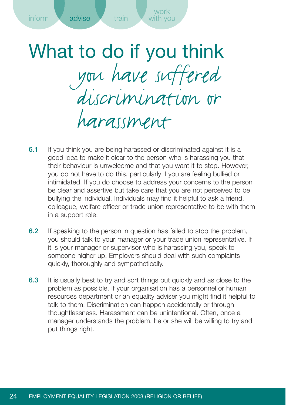What to do if you think you have suffered discrimination or harassment

train

advise

*inform* 

work

with you

- **6.1** If you think you are being harassed or discriminated against it is a good idea to make it clear to the person who is harassing you that their behaviour is unwelcome and that you want it to stop. However, you do not have to do this, particularly if you are feeling bullied or intimidated. If you do choose to address your concerns to the person be clear and assertive but take care that you are not perceived to be bullying the individual. Individuals may find it helpful to ask a friend, colleague, welfare officer or trade union representative to be with them in a support role.
- **6.2** If speaking to the person in question has failed to stop the problem, you should talk to your manager or your trade union representative. If it is your manager or supervisor who is harassing you, speak to someone higher up. Employers should deal with such complaints quickly, thoroughly and sympathetically.
- **6.3** It is usually best to try and sort things out quickly and as close to the problem as possible. If your organisation has a personnel or human resources department or an equality adviser you might find it helpful to talk to them. Discrimination can happen accidentally or through thoughtlessness. Harassment can be unintentional. Often, once a manager understands the problem, he or she will be willing to try and put things right.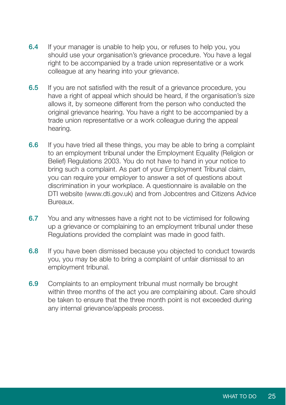- **6.4** If your manager is unable to help you, or refuses to help you, you should use your organisation's grievance procedure. You have a legal right to be accompanied by a trade union representative or a work colleague at any hearing into your grievance.
- **6.5** If you are not satisfied with the result of a grievance procedure, you have a right of appeal which should be heard, if the organisation's size allows it, by someone different from the person who conducted the original grievance hearing. You have a right to be accompanied by a trade union representative or a work colleague during the appeal hearing.
- **6.6** If you have tried all these things, you may be able to bring a complaint to an employment tribunal under the Employment Equality (Religion or Belief) Regulations 2003. You do not have to hand in your notice to bring such a complaint. As part of your Employment Tribunal claim, you can require your employer to answer a set of questions about discrimination in your workplace. A questionnaire is available on the DTI website (www.dti.gov.uk) and from Jobcentres and Citizens Advice Bureaux.
- **6.7** You and any witnesses have a right not to be victimised for following up a grievance or complaining to an employment tribunal under these Regulations provided the complaint was made in good faith.
- **6.8** If you have been dismissed because you objected to conduct towards you, you may be able to bring a complaint of unfair dismissal to an employment tribunal.
- **6.9** Complaints to an employment tribunal must normally be brought within three months of the act you are complaining about. Care should be taken to ensure that the three month point is not exceeded during any internal grievance/appeals process.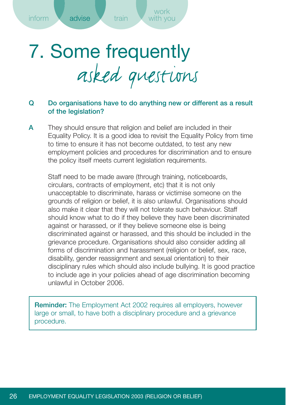

# 7. Some frequently asked questions

#### **Q Do organisations have to do anything new or different as a result of the legislation?**

**A** They should ensure that religion and belief are included in their Equality Policy. It is a good idea to revisit the Equality Policy from time to time to ensure it has not become outdated, to test any new employment policies and procedures for discrimination and to ensure the policy itself meets current legislation requirements.

Staff need to be made aware (through training, noticeboards, circulars, contracts of employment, etc) that it is not only unacceptable to discriminate, harass or victimise someone on the grounds of religion or belief, it is also unlawful. Organisations should also make it clear that they will not tolerate such behaviour. Staff should know what to do if they believe they have been discriminated against or harassed, or if they believe someone else is being discriminated against or harassed, and this should be included in the grievance procedure. Organisations should also consider adding all forms of discrimination and harassment (religion or belief, sex, race, disability, gender reassignment and sexual orientation) to their disciplinary rules which should also include bullying. It is good practice to include age in your policies ahead of age discrimination becoming unlawful in October 2006.

**Reminder:** The Employment Act 2002 requires all employers, however large or small, to have both a disciplinary procedure and a grievance procedure.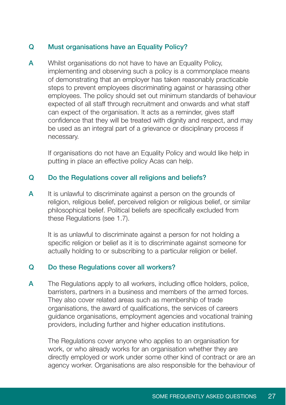#### **Q Must organisations have an Equality Policy?**

**A** Whilst organisations do not have to have an Equality Policy, implementing and observing such a policy is a commonplace means of demonstrating that an employer has taken reasonably practicable steps to prevent employees discriminating against or harassing other employees. The policy should set out minimum standards of behaviour expected of all staff through recruitment and onwards and what staff can expect of the organisation. It acts as a reminder, gives staff confidence that they will be treated with dignity and respect, and may be used as an integral part of a grievance or disciplinary process if necessary.

If organisations do not have an Equality Policy and would like help in putting in place an effective policy Acas can help.

#### **Q Do the Regulations cover all religions and beliefs?**

**A** It is unlawful to discriminate against a person on the grounds of religion, religious belief, perceived religion or religious belief, or similar philosophical belief. Political beliefs are specifically excluded from these Regulations (see 1.7).

It is as unlawful to discriminate against a person for not holding a specific religion or belief as it is to discriminate against someone for actually holding to or subscribing to a particular religion or belief.

#### **Q Do these Regulations cover all workers?**

**A** The Regulations apply to all workers, including office holders, police, barristers, partners in a business and members of the armed forces. They also cover related areas such as membership of trade organisations, the award of qualifications, the services of careers guidance organisations, employment agencies and vocational training providers, including further and higher education institutions.

The Regulations cover anyone who applies to an organisation for work, or who already works for an organisation whether they are directly employed or work under some other kind of contract or are an agency worker. Organisations are also responsible for the behaviour of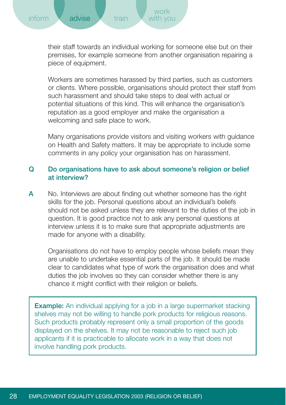their staff towards an individual working for someone else but on their premises, for example someone from another organisation repairing a piece of equipment.

Workers are sometimes harassed by third parties, such as customers or clients. Where possible, organisations should protect their staff from such harassment and should take steps to deal with actual or potential situations of this kind. This will enhance the organisation's reputation as a good employer and make the organisation a welcoming and safe place to work.

Many organisations provide visitors and visiting workers with guidance on Health and Safety matters. It may be appropriate to include some comments in any policy your organisation has on harassment.

#### **Q Do organisations have to ask about someone's religion or belief at interview?**

**A** No. Interviews are about finding out whether someone has the right skills for the job. Personal questions about an individual's beliefs should not be asked unless they are relevant to the duties of the job in question. It is good practice not to ask any personal questions at interview unless it is to make sure that appropriate adjustments are made for anyone with a disability.

Organisations do not have to employ people whose beliefs mean they are unable to undertake essential parts of the job. It should be made clear to candidates what type of work the organisation does and what duties the job involves so they can consider whether there is any chance it might conflict with their religion or beliefs.

**Example:** An individual applying for a job in a large supermarket stacking shelves may not be willing to handle pork products for religious reasons. Such products probably represent only a small proportion of the goods displayed on the shelves. It may not be reasonable to reject such job applicants if it is practicable to allocate work in a way that does not involve handling pork products.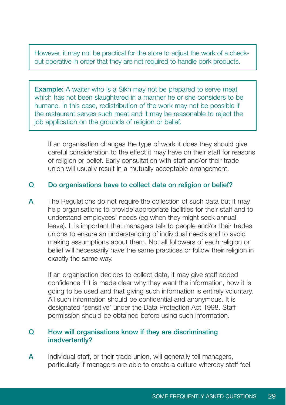However, it may not be practical for the store to adjust the work of a checkout operative in order that they are not required to handle pork products.

**Example:** A waiter who is a Sikh may not be prepared to serve meat which has not been slaughtered in a manner he or she considers to be humane. In this case, redistribution of the work may not be possible if the restaurant serves such meat and it may be reasonable to reject the job application on the grounds of religion or belief.

If an organisation changes the type of work it does they should give careful consideration to the effect it may have on their staff for reasons of religion or belief. Early consultation with staff and/or their trade union will usually result in a mutually acceptable arrangement.

#### **Q Do organisations have to collect data on religion or belief?**

**A** The Regulations do not require the collection of such data but it may help organisations to provide appropriate facilities for their staff and to understand employees' needs (eg when they might seek annual leave). It is important that managers talk to people and/or their trades unions to ensure an understanding of individual needs and to avoid making assumptions about them. Not all followers of each religion or belief will necessarily have the same practices or follow their religion in exactly the same way.

If an organisation decides to collect data, it may give staff added confidence if it is made clear why they want the information, how it is going to be used and that giving such information is entirely voluntary. All such information should be confidential and anonymous. It is designated 'sensitive' under the Data Protection Act 1998. Staff permission should be obtained before using such information.

#### **Q How will organisations know if they are discriminating inadvertently?**

**A** Individual staff, or their trade union, will generally tell managers, particularly if managers are able to create a culture whereby staff feel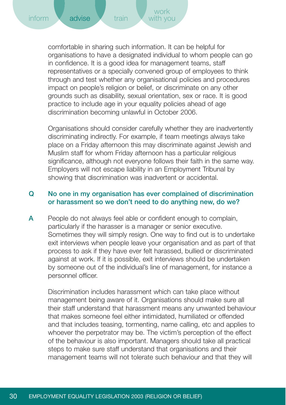comfortable in sharing such information. It can be helpful for organisations to have a designated individual to whom people can go in confidence. It is a good idea for management teams, staff representatives or a specially convened group of employees to think through and test whether any organisational policies and procedures impact on people's religion or belief, or discriminate on any other grounds such as disability, sexual orientation, sex or race. It is good practice to include age in your equality policies ahead of age discrimination becoming unlawful in October 2006.

Organisations should consider carefully whether they are inadvertently discriminating indirectly. For example, if team meetings always take place on a Friday afternoon this may discriminate against Jewish and Muslim staff for whom Friday afternoon has a particular religious significance, although not everyone follows their faith in the same way. Employers will not escape liability in an Employment Tribunal by showing that discrimination was inadvertent or accidental.

#### **Q No one in my organisation has ever complained of discrimination or harassment so we don't need to do anything new, do we?**

**A** People do not always feel able or confident enough to complain, particularly if the harasser is a manager or senior executive. Sometimes they will simply resign. One way to find out is to undertake exit interviews when people leave your organisation and as part of that process to ask if they have ever felt harassed, bullied or discriminated against at work. If it is possible, exit interviews should be undertaken by someone out of the individual's line of management, for instance a personnel officer.

Discrimination includes harassment which can take place without management being aware of it. Organisations should make sure all their staff understand that harassment means any unwanted behaviour that makes someone feel either intimidated, humiliated or offended and that includes teasing, tormenting, name calling, etc and applies to whoever the perpetrator may be. The victim's perception of the effect of the behaviour is also important. Managers should take all practical steps to make sure staff understand that organisations and their management teams will not tolerate such behaviour and that they will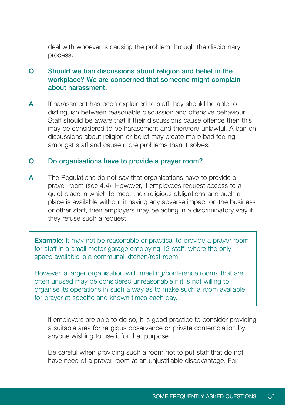deal with whoever is causing the problem through the disciplinary process.

#### **Q Should we ban discussions about religion and belief in the workplace? We are concerned that someone might complain about harassment.**

**A** If harassment has been explained to staff they should be able to distinguish between reasonable discussion and offensive behaviour. Staff should be aware that if their discussions cause offence then this may be considered to be harassment and therefore unlawful. A ban on discussions about religion or belief may create more bad feeling amongst staff and cause more problems than it solves.

#### **Q Do organisations have to provide a prayer room?**

**A** The Regulations do not say that organisations have to provide a prayer room (see 4.4). However, if employees request access to a quiet place in which to meet their religious obligations and such a place is available without it having any adverse impact on the business or other staff, then employers may be acting in a discriminatory way if they refuse such a request.

**Example:** It may not be reasonable or practical to provide a prayer room for staff in a small motor garage employing 12 staff, where the only space available is a communal kitchen/rest room.

However, a larger organisation with meeting/conference rooms that are often unused may be considered unreasonable if it is not willing to organise its operations in such a way as to make such a room available for prayer at specific and known times each day.

If employers are able to do so, it is good practice to consider providing a suitable area for religious observance or private contemplation by anyone wishing to use it for that purpose.

Be careful when providing such a room not to put staff that do not have need of a prayer room at an unjustifiable disadvantage. For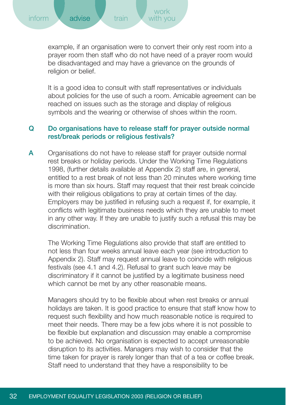example, if an organisation were to convert their only rest room into a prayer room then staff who do not have need of a prayer room would be disadvantaged and may have a grievance on the grounds of religion or belief.

It is a good idea to consult with staff representatives or individuals about policies for the use of such a room. Amicable agreement can be reached on issues such as the storage and display of religious symbols and the wearing or otherwise of shoes within the room.

#### **Q Do organisations have to release staff for prayer outside normal rest/break periods or religious festivals?**

**A** Organisations do not have to release staff for prayer outside normal rest breaks or holiday periods. Under the Working Time Regulations 1998, (further details available at Appendix 2) staff are, in general, entitled to a rest break of not less than 20 minutes where working time is more than six hours. Staff may request that their rest break coincide with their religious obligations to pray at certain times of the day. Employers may be justified in refusing such a request if, for example, it conflicts with legitimate business needs which they are unable to meet in any other way. If they are unable to justify such a refusal this may be discrimination.

The Working Time Regulations also provide that staff are entitled to not less than four weeks annual leave each year (see introduction to Appendix 2). Staff may request annual leave to coincide with religious festivals (see 4.1 and 4.2). Refusal to grant such leave may be discriminatory if it cannot be justified by a legitimate business need which cannot be met by any other reasonable means.

Managers should try to be flexible about when rest breaks or annual holidays are taken. It is good practice to ensure that staff know how to request such flexibility and how much reasonable notice is required to meet their needs. There may be a few jobs where it is not possible to be flexible but explanation and discussion may enable a compromise to be achieved. No organisation is expected to accept unreasonable disruption to its activities. Managers may wish to consider that the time taken for prayer is rarely longer than that of a tea or coffee break. Staff need to understand that they have a responsibility to be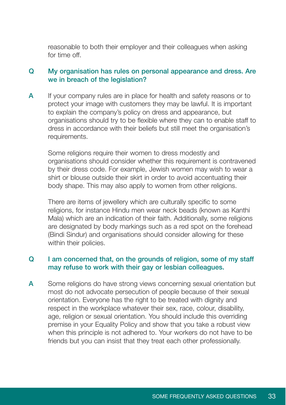reasonable to both their employer and their colleagues when asking for time off.

#### **Q My organisation has rules on personal appearance and dress. Are we in breach of the legislation?**

**A** If your company rules are in place for health and safety reasons or to protect your image with customers they may be lawful. It is important to explain the company's policy on dress and appearance, but organisations should try to be flexible where they can to enable staff to dress in accordance with their beliefs but still meet the organisation's requirements.

Some religions require their women to dress modestly and organisations should consider whether this requirement is contravened by their dress code. For example, Jewish women may wish to wear a shirt or blouse outside their skirt in order to avoid accentuating their body shape. This may also apply to women from other religions.

There are items of jewellery which are culturally specific to some religions, for instance Hindu men wear neck beads (known as Kanthi Mala) which are an indication of their faith. Additionally, some religions are designated by body markings such as a red spot on the forehead (Bindi Sindur) and organisations should consider allowing for these within their policies.

#### **Q I am concerned that, on the grounds of religion, some of my staff may refuse to work with their gay or lesbian colleagues.**

**A** Some religions do have strong views concerning sexual orientation but most do not advocate persecution of people because of their sexual orientation. Everyone has the right to be treated with dignity and respect in the workplace whatever their sex, race, colour, disability, age, religion or sexual orientation. You should include this overriding premise in your Equality Policy and show that you take a robust view when this principle is not adhered to. Your workers do not have to be friends but you can insist that they treat each other professionally.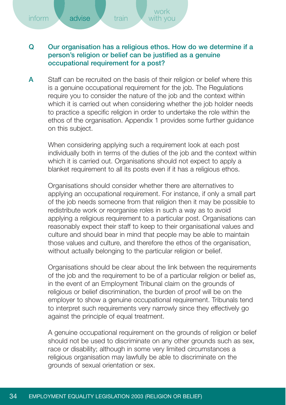#### **Q Our organisation has a religious ethos. How do we determine if a person's religion or belief can be justified as a genuine occupational requirement for a post?**

train

**A** Staff can be recruited on the basis of their religion or belief where this is a genuine occupational requirement for the job. The Regulations require you to consider the nature of the job and the context within which it is carried out when considering whether the job holder needs to practice a specific religion in order to undertake the role within the ethos of the organisation. Appendix 1 provides some further guidance on this subject.

When considering applying such a requirement look at each post individually both in terms of the duties of the job and the context within which it is carried out. Organisations should not expect to apply a blanket requirement to all its posts even if it has a religious ethos.

Organisations should consider whether there are alternatives to applying an occupational requirement. For instance, if only a small part of the job needs someone from that religion then it may be possible to redistribute work or reorganise roles in such a way as to avoid applying a religious requirement to a particular post. Organisations can reasonably expect their staff to keep to their organisational values and culture and should bear in mind that people may be able to maintain those values and culture, and therefore the ethos of the organisation, without actually belonging to the particular religion or belief.

Organisations should be clear about the link between the requirements of the job and the requirement to be of a particular religion or belief as, in the event of an Employment Tribunal claim on the grounds of religious or belief discrimination, the burden of proof will be on the employer to show a genuine occupational requirement. Tribunals tend to interpret such requirements very narrowly since they effectively go against the principle of equal treatment.

A genuine occupational requirement on the grounds of religion or belief should not be used to discriminate on any other grounds such as sex, race or disability; although in some very limited circumstances a religious organisation may lawfully be able to discriminate on the grounds of sexual orientation or sex.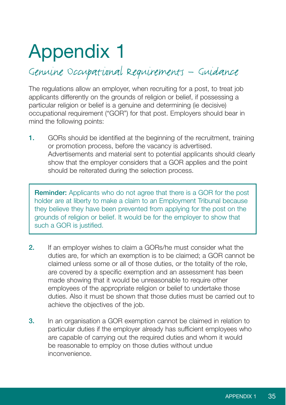# Appendix 1

### Genuine Occupational Requirements – Guidance

The regulations allow an employer, when recruiting for a post, to treat job applicants differently on the grounds of religion or belief, if possessing a particular religion or belief is a genuine and determining (ie decisive) occupational requirement ("GOR") for that post. Employers should bear in mind the following points:

**1.** GORs should be identified at the beginning of the recruitment, training or promotion process, before the vacancy is advertised. Advertisements and material sent to potential applicants should clearly show that the employer considers that a GOR applies and the point should be reiterated during the selection process.

**Reminder:** Applicants who do not agree that there is a GOR for the post holder are at liberty to make a claim to an Employment Tribunal because they believe they have been prevented from applying for the post on the grounds of religion or belief. It would be for the employer to show that such a GOR is justified.

- **2.** If an employer wishes to claim a GORs/he must consider what the duties are, for which an exemption is to be claimed; a GOR cannot be claimed unless some or all of those duties, or the totality of the role, are covered by a specific exemption and an assessment has been made showing that it would be unreasonable to require other employees of the appropriate religion or belief to undertake those duties. Also it must be shown that those duties must be carried out to achieve the objectives of the job.
- **3.** In an organisation a GOR exemption cannot be claimed in relation to particular duties if the employer already has sufficient employees who are capable of carrying out the required duties and whom it would be reasonable to employ on those duties without undue inconvenience.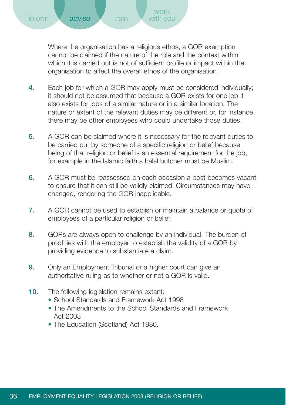

Where the organisation has a religious ethos, a GOR exemption cannot be claimed if the nature of the role and the context within which it is carried out is not of sufficient profile or impact within the organisation to affect the overall ethos of the organisation.

- **4.** Each job for which a GOR may apply must be considered individually; it should not be assumed that because a GOR exists for one job it also exists for jobs of a similar nature or in a similar location. The nature or extent of the relevant duties may be different or, for instance, there may be other employees who could undertake those duties.
- **5.** A GOR can be claimed where it is necessary for the relevant duties to be carried out by someone of a specific religion or belief because being of that religion or belief is an essential requirement for the job, for example in the Islamic faith a halal butcher must be Muslim.
- **6.** A GOR must be reassessed on each occasion a post becomes vacant to ensure that it can still be validly claimed. Circumstances may have changed, rendering the GOR inapplicable.
- **7.** A GOR cannot be used to establish or maintain a balance or quota of employees of a particular religion or belief.
- **8.** GORs are always open to challenge by an individual. The burden of proof lies with the employer to establish the validity of a GOR by providing evidence to substantiate a claim.
- **9.** Only an Employment Tribunal or a higher court can give an authoritative ruling as to whether or not a GOR is valid.
- **10.** The following legislation remains extant:
	- School Standards and Framework Act 1998
	- The Amendments to the School Standards and Framework Act 2003
	- The Education (Scotland) Act 1980.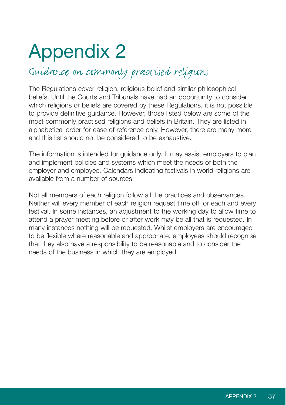# Appendix 2

### Guidance on commonly practised religions

The Regulations cover religion, religious belief and similar philosophical beliefs. Until the Courts and Tribunals have had an opportunity to consider which religions or beliefs are covered by these Regulations, it is not possible to provide definitive guidance. However, those listed below are some of the most commonly practised religions and beliefs in Britain. They are listed in alphabetical order for ease of reference only. However, there are many more and this list should not be considered to be exhaustive.

The information is intended for guidance only. It may assist employers to plan and implement policies and systems which meet the needs of both the employer and employee. Calendars indicating festivals in world religions are available from a number of sources.

Not all members of each religion follow all the practices and observances. Neither will every member of each religion request time off for each and every festival. In some instances, an adjustment to the working day to allow time to attend a prayer meeting before or after work may be all that is requested. In many instances nothing will be requested. Whilst employers are encouraged to be flexible where reasonable and appropriate, employees should recognise that they also have a responsibility to be reasonable and to consider the needs of the business in which they are employed.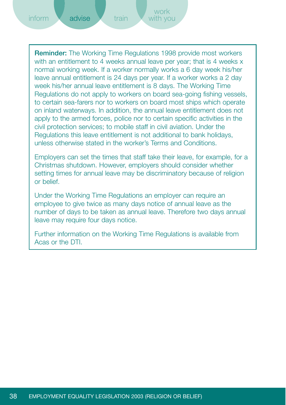**Reminder:** The Working Time Regulations 1998 provide most workers with an entitlement to 4 weeks annual leave per year; that is 4 weeks x normal working week. If a worker normally works a 6 day week his/her leave annual entitlement is 24 days per year. If a worker works a 2 day week his/her annual leave entitlement is 8 days. The Working Time Regulations do not apply to workers on board sea-going fishing vessels, to certain sea-farers nor to workers on board most ships which operate on inland waterways. In addition, the annual leave entitlement does not apply to the armed forces, police nor to certain specific activities in the civil protection services; to mobile staff in civil aviation. Under the Regulations this leave entitlement is not additional to bank holidays, unless otherwise stated in the worker's Terms and Conditions.

Employers can set the times that staff take their leave, for example, for a Christmas shutdown. However, employers should consider whether setting times for annual leave may be discriminatory because of religion or belief.

Under the Working Time Regulations an employer can require an employee to give twice as many days notice of annual leave as the number of days to be taken as annual leave. Therefore two days annual leave may require four days notice.

Further information on the Working Time Regulations is available from Acas or the DTI.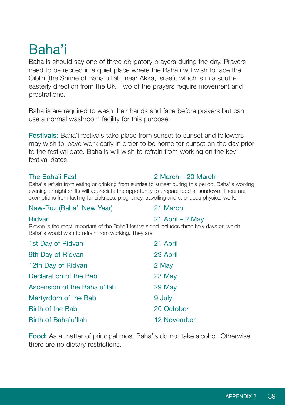# Baha'i

Baha'is should say one of three obligatory prayers during the day. Prayers need to be recited in a quiet place where the Baha'i will wish to face the Qiblih (the Shrine of Baha'u'llah, near Akka, Israel), which is in a southeasterly direction from the UK. Two of the prayers require movement and prostrations.

Baha'is are required to wash their hands and face before prayers but can use a normal washroom facility for this purpose.

**Festivals:** Baha'i festivals take place from sunset to sunset and followers may wish to leave work early in order to be home for sunset on the day prior to the festival date. Baha'is will wish to refrain from working on the key festival dates.

#### The Baha'i Fast 2 March – 20 March

Baha'is refrain from eating or drinking from sunrise to sunset during this period. Baha'is working evening or night shifts will appreciate the opportunity to prepare food at sundown. There are exemptions from fasting for sickness, pregnancy, travelling and strenuous physical work.

Naw-Ruz (Baha'i New Year) 21 March

Ridvan 21 April – 2 May

Ridvan is the most important of the Baha'i festivals and includes three holy days on which Baha'is would wish to refrain from working. They are:

| 1st Day of Ridvan            | 21 April    |
|------------------------------|-------------|
| 9th Day of Ridvan            | 29 April    |
| 12th Day of Ridvan           | 2 May       |
| Declaration of the Bab       | 23 May      |
| Ascension of the Baha'u'llah | 29 May      |
| Martyrdom of the Bab         | 9 July      |
| Birth of the Bab             | 20 October  |
| Birth of Baha'u'llah         | 12 November |

**Food:** As a matter of principal most Baha'is do not take alcohol. Otherwise there are no dietary restrictions.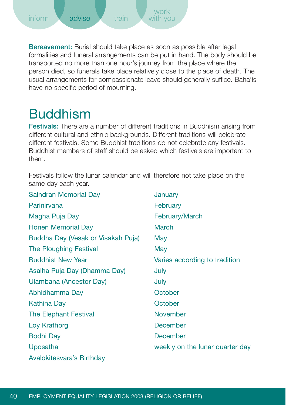**Bereavement:** Burial should take place as soon as possible after legal formalities and funeral arrangements can be put in hand. The body should be transported no more than one hour's journey from the place where the person died, so funerals take place relatively close to the place of death. The usual arrangements for compassionate leave should generally suffice. Baha'is have no specific period of mourning.

# Buddhism

**Festivals:** There are a number of different traditions in Buddhism arising from different cultural and ethnic backgrounds. Different traditions will celebrate different festivals. Some Buddhist traditions do not celebrate any festivals. Buddhist members of staff should be asked which festivals are important to them.

Festivals follow the lunar calendar and will therefore not take place on the same day each year.

| Saindran Memorial Day              | January                         |
|------------------------------------|---------------------------------|
| Parinirvana                        | February                        |
| Magha Puja Day                     | February/March                  |
| Honen Memorial Day                 | March                           |
| Buddha Day (Vesak or Visakah Puja) | May                             |
| The Ploughing Festival             | May                             |
| <b>Buddhist New Year</b>           | Varies according to tradition   |
| Asalha Puja Day (Dhamma Day)       | July                            |
| Ulambana (Ancestor Day)            | July                            |
| Abhidhamma Day                     | October                         |
| <b>Kathina Day</b>                 | October                         |
| The Elephant Festival              | <b>November</b>                 |
| Loy Krathorg                       | December                        |
| Bodhi Day                          | December                        |
| Uposatha                           | weekly on the lunar quarter day |
| Avalokitesvara's Birthday          |                                 |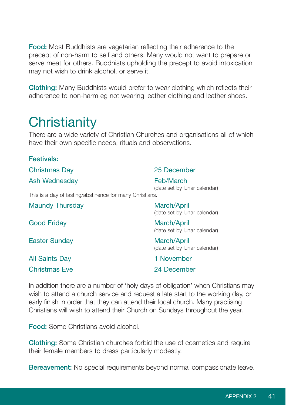**Food:** Most Buddhists are vegetarian reflecting their adherence to the precept of non-harm to self and others. Many would not want to prepare or serve meat for others. Buddhists upholding the precept to avoid intoxication may not wish to drink alcohol, or serve it.

**Clothing:** Many Buddhists would prefer to wear clothing which reflects their adherence to non-harm eg not wearing leather clothing and leather shoes.

# **Christianity**

There are a wide variety of Christian Churches and organisations all of which have their own specific needs, rituals and observations.

| Christmas Day                                            | 25 December                                 |
|----------------------------------------------------------|---------------------------------------------|
| Ash Wednesday                                            | Feb/March<br>(date set by lunar calendar)   |
| This is a day of fasting/abstinence for many Christians. |                                             |
| Maundy Thursday                                          | March/April<br>(date set by lunar calendar) |
| <b>Good Friday</b>                                       | March/April<br>(date set by lunar calendar) |
| Easter Sunday                                            | March/April<br>(date set by lunar calendar) |
| <b>All Saints Day</b>                                    | 1 November                                  |
| <b>Christmas Eve</b>                                     | 24 December                                 |

In addition there are a number of 'holy days of obligation' when Christians may wish to attend a church service and request a late start to the working day, or early finish in order that they can attend their local church. Many practising Christians will wish to attend their Church on Sundays throughout the year.

**Food:** Some Christians avoid alcohol.

**Clothing:** Some Christian churches forbid the use of cosmetics and require their female members to dress particularly modestly.

**Bereavement:** No special requirements beyond normal compassionate leave.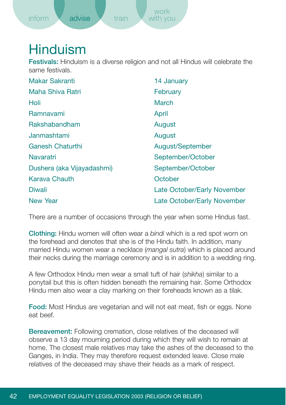

# Hinduism

**Festivals:** Hinduism is a diverse religion and not all Hindus will celebrate the same festivals.

| Makar Sakranti             | 14 January                  |
|----------------------------|-----------------------------|
| Maha Shiva Ratri           | February                    |
| Holi                       | March                       |
| Ramnavami                  | April                       |
| Rakshabandham              | August                      |
| Janmashtami                | August                      |
| <b>Ganesh Chaturthi</b>    | August/September            |
| <b>Navaratri</b>           | September/October           |
| Dushera (aka Vijayadashmi) | September/October           |
| <b>Karava Chauth</b>       | October                     |
| <b>Diwali</b>              | Late October/Early November |
| New Year                   | Late October/Early November |

There are a number of occasions through the year when some Hindus fast.

**Clothing:** Hindu women will often wear a *bindi* which is a red spot worn on the forehead and denotes that she is of the Hindu faith. In addition, many married Hindu women wear a necklace (*mangal sutra*) which is placed around their necks during the marriage ceremony and is in addition to a wedding ring.

A few Orthodox Hindu men wear a small tuft of hair (*shikha*) similar to a ponytail but this is often hidden beneath the remaining hair. Some Orthodox Hindu men also wear a clay marking on their foreheads known as a tilak.

**Food:** Most Hindus are vegetarian and will not eat meat, fish or eggs. None eat beef.

**Bereavement:** Following cremation, close relatives of the deceased will observe a 13 day mourning period during which they will wish to remain at home. The closest male relatives may take the ashes of the deceased to the Ganges, in India. They may therefore request extended leave. Close male relatives of the deceased may shave their heads as a mark of respect.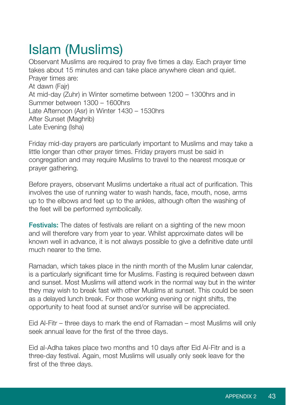# Islam (Muslims)

Observant Muslims are required to pray five times a day. Each prayer time takes about 15 minutes and can take place anywhere clean and quiet. Prayer times are: At dawn (Fajr) At mid-day (Zuhr) in Winter sometime between 1200 – 1300hrs and in Summer between 1300 – 1600hrs Late Afternoon (Asr) in Winter 1430 – 1530hrs After Sunset (Maghrib) Late Evening (Isha)

Friday mid-day prayers are particularly important to Muslims and may take a little longer than other prayer times. Friday prayers must be said in congregation and may require Muslims to travel to the nearest mosque or prayer gathering.

Before prayers, observant Muslims undertake a ritual act of purification. This involves the use of running water to wash hands, face, mouth, nose, arms up to the elbows and feet up to the ankles, although often the washing of the feet will be performed symbolically.

**Festivals:** The dates of festivals are reliant on a sighting of the new moon and will therefore vary from year to year. Whilst approximate dates will be known well in advance, it is not always possible to give a definitive date until much nearer to the time.

Ramadan, which takes place in the ninth month of the Muslim lunar calendar, is a particularly significant time for Muslims. Fasting is required between dawn and sunset. Most Muslims will attend work in the normal way but in the winter they may wish to break fast with other Muslims at sunset. This could be seen as a delayed lunch break. For those working evening or night shifts, the opportunity to heat food at sunset and/or sunrise will be appreciated.

Eid Al-Fitr – three days to mark the end of Ramadan – most Muslims will only seek annual leave for the first of the three days.

Eid al-Adha takes place two months and 10 days after Eid Al-Fitr and is a three-day festival. Again, most Muslims will usually only seek leave for the first of the three days.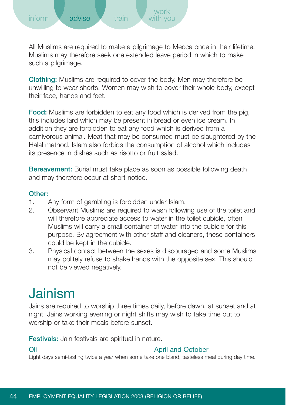All Muslims are required to make a pilgrimage to Mecca once in their lifetime. Muslims may therefore seek one extended leave period in which to make such a pilgrimage.

**Clothing:** Muslims are required to cover the body. Men may therefore be unwilling to wear shorts. Women may wish to cover their whole body, except their face, hands and feet.

**Food:** Muslims are forbidden to eat any food which is derived from the pig, this includes lard which may be present in bread or even ice cream. In addition they are forbidden to eat any food which is derived from a carnivorous animal. Meat that may be consumed must be slaughtered by the Halal method. Islam also forbids the consumption of alcohol which includes its presence in dishes such as risotto or fruit salad.

**Bereavement:** Burial must take place as soon as possible following death and may therefore occur at short notice.

#### **Other:**

- 1. Any form of gambling is forbidden under Islam.
- 2. Observant Muslims are required to wash following use of the toilet and will therefore appreciate access to water in the toilet cubicle, often Muslims will carry a small container of water into the cubicle for this purpose. By agreement with other staff and cleaners, these containers could be kept in the cubicle.
- 3. Physical contact between the sexes is discouraged and some Muslims may politely refuse to shake hands with the opposite sex. This should not be viewed negatively.

# Jainism

Jains are required to worship three times daily, before dawn, at sunset and at night. Jains working evening or night shifts may wish to take time out to worship or take their meals before sunset.

**Festivals:** Jain festivals are spiritual in nature.

#### Oli **April and October April and October**

Eight days semi-fasting twice a year when some take one bland, tasteless meal during day time.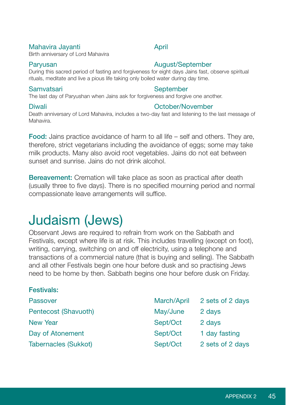#### Mahavira Javanti **April** April

Birth anniversary of Lord Mahavira

#### Paryusan **August/September**

During this sacred period of fasting and forgiveness for eight days Jains fast, observe spiritual rituals, meditate and live a pious life taking only boiled water during day time.

#### Samvatsari September

The last day of Paryushan when Jains ask for forgiveness and forgive one another.

#### Diwali October/November

Death anniversary of Lord Mahavira, includes a two-day fast and listening to the last message of Mahavira.

**Food:** Jains practice avoidance of harm to all life – self and others. They are, therefore, strict vegetarians including the avoidance of eggs; some may take milk products. Many also avoid root vegetables. Jains do not eat between sunset and sunrise. Jains do not drink alcohol.

**Bereavement:** Cremation will take place as soon as practical after death (usually three to five days). There is no specified mourning period and normal compassionate leave arrangements will suffice.

### Judaism (Jews)

Observant Jews are required to refrain from work on the Sabbath and Festivals, except where life is at risk. This includes travelling (except on foot), writing, carrying, switching on and off electricity, using a telephone and transactions of a commercial nature (that is buying and selling). The Sabbath and all other Festivals begin one hour before dusk and so practising Jews need to be home by then. Sabbath begins one hour before dusk on Friday.

#### **Festivals:**

| Passover                    | March/April | 2 sets of 2 days |
|-----------------------------|-------------|------------------|
| Pentecost (Shavuoth)        | May/June    | 2 days           |
| New Year                    | Sept/Oct    | 2 days           |
| Day of Atonement            | Sept/Oct    | 1 day fasting    |
| <b>Tabernacles (Sukkot)</b> | Sept/Oct    | 2 sets of 2 days |

#### APPENDIX 2 45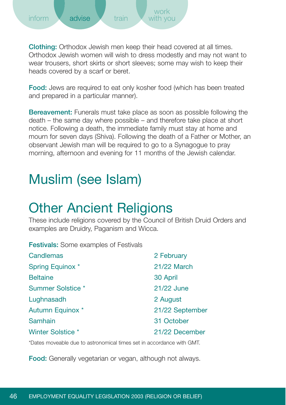

**Clothing:** Orthodox Jewish men keep their head covered at all times. Orthodox Jewish women will wish to dress modestly and may not want to wear trousers, short skirts or short sleeves; some may wish to keep their heads covered by a scarf or beret.

**Food:** Jews are required to eat only kosher food (which has been treated and prepared in a particular manner).

**Bereavement:** Funerals must take place as soon as possible following the death – the same day where possible – and therefore take place at short notice. Following a death, the immediate family must stay at home and mourn for seven days (Shiva). Following the death of a Father or Mother, an observant Jewish man will be required to go to a Synagogue to pray morning, afternoon and evening for 11 months of the Jewish calendar.

# Muslim (see Islam)

# Other Ancient Religions

These include religions covered by the Council of British Druid Orders and examples are Druidry, Paganism and Wicca.

**Festivals:** Some examples of Festivals

| Candlemas                | 2 February      |
|--------------------------|-----------------|
| Spring Equinox *         | 21/22 March     |
| <b>Beltaine</b>          | 30 April        |
| <b>Summer Solstice *</b> | 21/22 June      |
| Lughnasadh               | 2 August        |
| Autumn Equinox *         | 21/22 September |
| Samhain                  | 31 October      |
| <b>Winter Solstice *</b> | 21/22 December  |
|                          |                 |

\*Dates moveable due to astronomical times set in accordance with GMT.

**Food:** Generally vegetarian or vegan, although not always.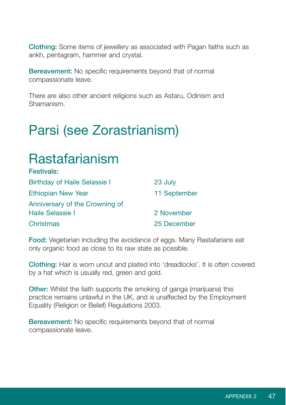**Clothing:** Some items of jewellery as associated with Pagan faiths such as ankh, pentagram, hammer and crystal.

**Bereavement:** No specific requirements beyond that of normal compassionate leave.

There are also other ancient religions such as Astaru, Odinism and Shamanism.

### Parsi (see Zorastrianism)

### Rastafarianism

**Festivals:**

| . Couvaio.                     |              |
|--------------------------------|--------------|
| Birthday of Haile Selassie I   | 23 July      |
| Ethiopian New Year             | 11 September |
| Anniversary of the Crowning of |              |
| Haile Selassie I               | 2 November   |
| Christmas                      | 25 December  |

**Food:** Vegetarian including the avoidance of eggs. Many Rastafarians eat only organic food as close to its raw state as possible.

**Clothing:** Hair is worn uncut and plaited into 'dreadlocks'. It is often covered by a hat which is usually red, green and gold.

**Other:** Whilst the faith supports the smoking of ganga (marijuana) this practice remains unlawful in the UK, and is unaffected by the Employment Equality (Religion or Belief) Regulations 2003.

**Bereavement:** No specific requirements beyond that of normal compassionate leave.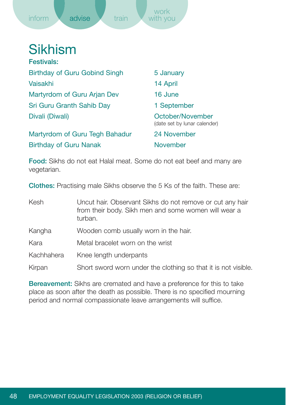| advise<br>inform<br>train      | work<br>with you                                 |
|--------------------------------|--------------------------------------------------|
| Sikhism                        |                                                  |
| Festivals:                     |                                                  |
| Birthday of Guru Gobind Singh  | 5 January                                        |
| Vaisakhi                       | 14 April                                         |
| Martyrdom of Guru Arjan Dev    | 16 June                                          |
| Sri Guru Granth Sahib Day      | 1 September                                      |
| Divali (Diwali)                | October/November<br>(date set by lunar calender) |
| Martyrdom of Guru Tegh Bahadur | 24 November                                      |
| Birthday of Guru Nanak         | November                                         |
|                                |                                                  |

**Food:** Sikhs do not eat Halal meat. Some do not eat beef and many are vegetarian.

**Clothes:** Practising male Sikhs observe the 5 Ks of the faith. These are:

| Kesh       | Uncut hair. Observant Sikhs do not remove or cut any hair<br>from their body. Sikh men and some women will wear a<br>turban. |
|------------|------------------------------------------------------------------------------------------------------------------------------|
| Kangha     | Wooden comb usually worn in the hair.                                                                                        |
| Kara       | Metal bracelet worn on the wrist                                                                                             |
| Kachhahera | Knee length underpants                                                                                                       |
| Kirpan     | Short sword worn under the clothing so that it is not visible.                                                               |

**Bereavement:** Sikhs are cremated and have a preference for this to take place as soon after the death as possible. There is no specified mourning period and normal compassionate leave arrangements will suffice.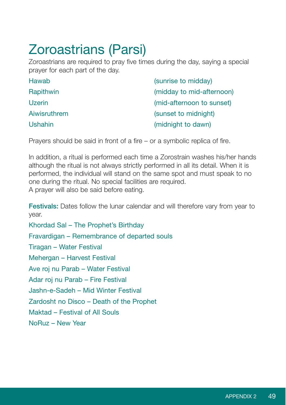# Zoroastrians (Parsi)

Zoroastrians are required to pray five times during the day, saying a special prayer for each part of the day.

| Hawab          | (sunrise to midday)       |
|----------------|---------------------------|
| Rapithwin      | (midday to mid-afternoon) |
| <b>Uzerin</b>  | (mid-afternoon to sunset) |
| Aiwisruthrem   | (sunset to midnight)      |
| <b>Ushahin</b> | (midnight to dawn)        |

Prayers should be said in front of a fire – or a symbolic replica of fire.

In addition, a ritual is performed each time a Zorostrain washes his/her hands although the ritual is not always strictly performed in all its detail. When it is performed, the individual will stand on the same spot and must speak to no one during the ritual. No special facilities are required. A prayer will also be said before eating.

**Festivals:** Dates follow the lunar calendar and will therefore vary from year to year.

Khordad Sal – The Prophet's Birthday Fravardigan – Remembrance of departed souls Tiragan – Water Festival Mehergan – Harvest Festival Ave roj nu Parab – Water Festival Adar roj nu Parab – Fire Festival Jashn-e-Sadeh – Mid Winter Festival Zardosht no Disco – Death of the Prophet Maktad – Festival of All Souls

NoRuz – New Year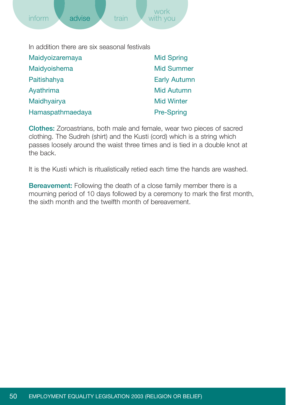

In addition there are six seasonal festivals

| Maidyoizaremaya  | <b>Mid Spring</b>   |
|------------------|---------------------|
| Maidyoishema     | <b>Mid Summer</b>   |
| Paitishahya      | <b>Early Autumn</b> |
| Ayathrima        | Mid Autumn          |
| Maidhyairya      | <b>Mid Winter</b>   |
| Hamaspathmaedaya | Pre-Spring          |

**Clothes:** Zoroastrians, both male and female, wear two pieces of sacred clothing. The Sudreh (shirt) and the Kusti (cord) which is a string which passes loosely around the waist three times and is tied in a double knot at the back.

It is the Kusti which is ritualistically retied each time the hands are washed.

**Bereavement:** Following the death of a close family member there is a mourning period of 10 days followed by a ceremony to mark the first month, the sixth month and the twelfth month of bereavement.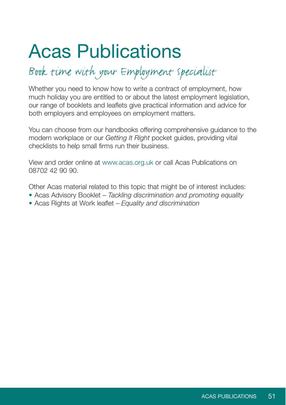# Acas Publications

## Book time with your Employment Specialist

Whether you need to know how to write a contract of employment, how much holiday you are entitled to or about the latest employment legislation, our range of booklets and leaflets give practical information and advice for both employers and employees on employment matters.

You can choose from our handbooks offering comprehensive guidance to the modern workplace or our *Getting It Right* pocket guides, providing vital checklists to help small firms run their business.

View and order online at www.acas.org.uk or call Acas Publications on 08702 42 90 90.

Other Acas material related to this topic that might be of interest includes:

- Acas Advisory Booklet *Tackling discrimination and promoting equality*
- Acas Rights at Work leaflet *Equality and discrimination*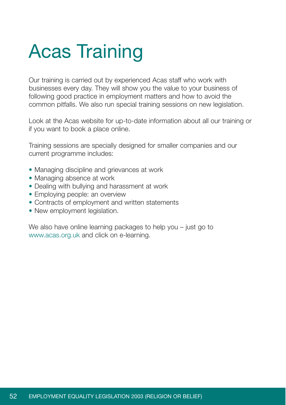# Acas Training

Our training is carried out by experienced Acas staff who work with businesses every day. They will show you the value to your business of following good practice in employment matters and how to avoid the common pitfalls. We also run special training sessions on new legislation.

Look at the Acas website for up-to-date information about all our training or if you want to book a place online.

Training sessions are specially designed for smaller companies and our current programme includes:

- Managing discipline and grievances at work
- Managing absence at work
- Dealing with bullying and harassment at work
- Employing people: an overview
- Contracts of employment and written statements
- New employment legislation.

We also have online learning packages to help you – just go to www.acas.org.uk and click on e-learning.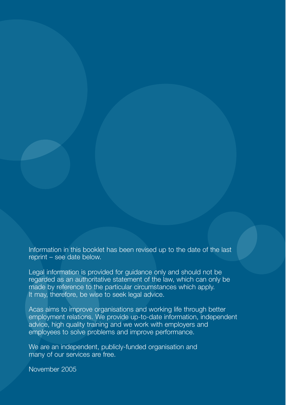Information in this booklet has been revised up to the date of the last reprint – see date below.

Legal information is provided for guidance only and should not be regarded as an authoritative statement of the law, which can only be made by reference to the particular circumstances which apply. It may, therefore, be wise to seek legal advice.

Acas aims to improve organisations and working life through better employment relations. We provide up-to-date information, independent advice, high quality training and we work with employers and employees to solve problems and improve performance.

We are an independent, publicly-funded organisation and many of our services are free.

November 2005